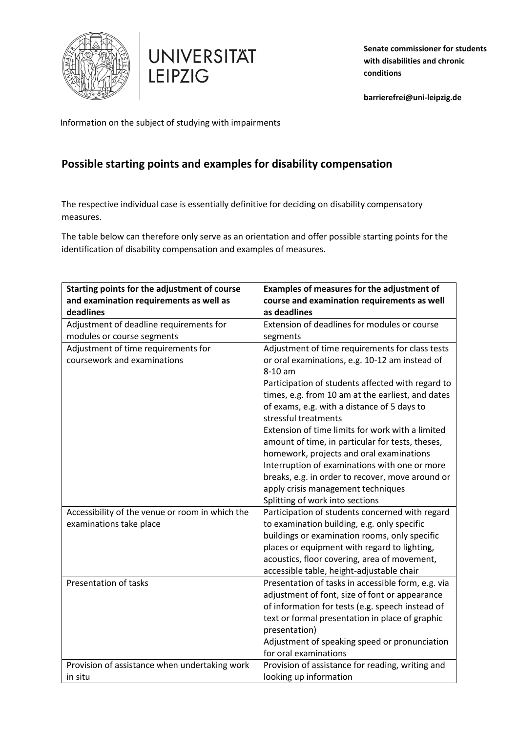



**Senate commissioner for students with disabilities and chronic conditions** 

**barrierefrei@uni-leipzig.de**

Information on the subject of studying with impairments

## **Possible starting points and examples for disability compensation**

The respective individual case is essentially definitive for deciding on disability compensatory measures.

The table below can therefore only serve as an orientation and offer possible starting points for the identification of disability compensation and examples of measures.

| Starting points for the adjustment of course    | Examples of measures for the adjustment of         |
|-------------------------------------------------|----------------------------------------------------|
| and examination requirements as well as         | course and examination requirements as well        |
| deadlines                                       | as deadlines                                       |
| Adjustment of deadline requirements for         | Extension of deadlines for modules or course       |
| modules or course segments                      | segments                                           |
| Adjustment of time requirements for             | Adjustment of time requirements for class tests    |
| coursework and examinations                     | or oral examinations, e.g. 10-12 am instead of     |
|                                                 | $8-10$ am                                          |
|                                                 | Participation of students affected with regard to  |
|                                                 | times, e.g. from 10 am at the earliest, and dates  |
|                                                 | of exams, e.g. with a distance of 5 days to        |
|                                                 | stressful treatments                               |
|                                                 | Extension of time limits for work with a limited   |
|                                                 | amount of time, in particular for tests, theses,   |
|                                                 | homework, projects and oral examinations           |
|                                                 | Interruption of examinations with one or more      |
|                                                 | breaks, e.g. in order to recover, move around or   |
|                                                 | apply crisis management techniques                 |
|                                                 | Splitting of work into sections                    |
| Accessibility of the venue or room in which the | Participation of students concerned with regard    |
| examinations take place                         | to examination building, e.g. only specific        |
|                                                 | buildings or examination rooms, only specific      |
|                                                 | places or equipment with regard to lighting,       |
|                                                 | acoustics, floor covering, area of movement,       |
|                                                 | accessible table, height-adjustable chair          |
| Presentation of tasks                           | Presentation of tasks in accessible form, e.g. via |
|                                                 | adjustment of font, size of font or appearance     |
|                                                 | of information for tests (e.g. speech instead of   |
|                                                 | text or formal presentation in place of graphic    |
|                                                 | presentation)                                      |
|                                                 | Adjustment of speaking speed or pronunciation      |
|                                                 | for oral examinations                              |
| Provision of assistance when undertaking work   | Provision of assistance for reading, writing and   |
| in situ                                         | looking up information                             |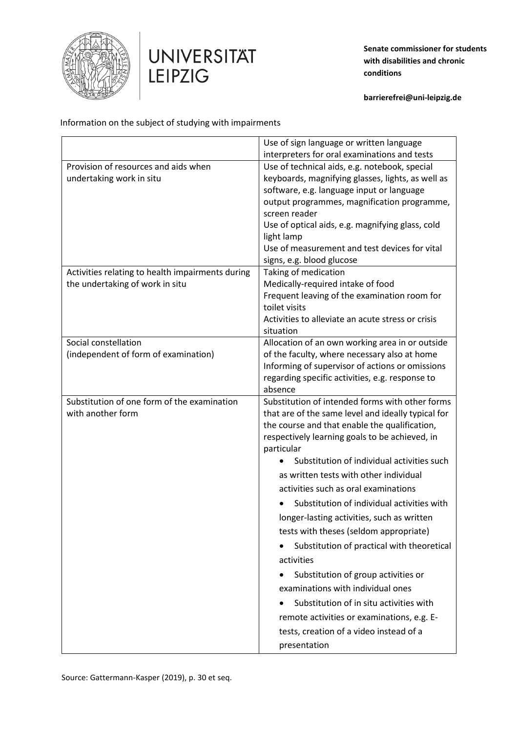



**Senate commissioner for students with disabilities and chronic conditions** 

**barrierefrei@uni-leipzig.de**

Information on the subject of studying with impairments

|                                                  | Use of sign language or written language                    |
|--------------------------------------------------|-------------------------------------------------------------|
|                                                  | interpreters for oral examinations and tests                |
| Provision of resources and aids when             | Use of technical aids, e.g. notebook, special               |
| undertaking work in situ                         | keyboards, magnifying glasses, lights, as well as           |
|                                                  | software, e.g. language input or language                   |
|                                                  | output programmes, magnification programme,                 |
|                                                  | screen reader                                               |
|                                                  | Use of optical aids, e.g. magnifying glass, cold            |
|                                                  | light lamp<br>Use of measurement and test devices for vital |
|                                                  | signs, e.g. blood glucose                                   |
| Activities relating to health impairments during | Taking of medication                                        |
| the undertaking of work in situ                  | Medically-required intake of food                           |
|                                                  | Frequent leaving of the examination room for                |
|                                                  | toilet visits                                               |
|                                                  | Activities to alleviate an acute stress or crisis           |
|                                                  | situation                                                   |
| Social constellation                             | Allocation of an own working area in or outside             |
| (independent of form of examination)             | of the faculty, where necessary also at home                |
|                                                  | Informing of supervisor of actions or omissions             |
|                                                  | regarding specific activities, e.g. response to             |
| Substitution of one form of the examination      | absence<br>Substitution of intended forms with other forms  |
| with another form                                | that are of the same level and ideally typical for          |
|                                                  | the course and that enable the qualification,               |
|                                                  | respectively learning goals to be achieved, in              |
|                                                  | particular                                                  |
|                                                  | Substitution of individual activities such                  |
|                                                  | as written tests with other individual                      |
|                                                  | activities such as oral examinations                        |
|                                                  |                                                             |
|                                                  | Substitution of individual activities with                  |
|                                                  |                                                             |
|                                                  | longer-lasting activities, such as written                  |
|                                                  | tests with theses (seldom appropriate)                      |
|                                                  | Substitution of practical with theoretical                  |
|                                                  | activities                                                  |
|                                                  | Substitution of group activities or                         |
|                                                  | examinations with individual ones                           |
|                                                  | Substitution of in situ activities with                     |
|                                                  | remote activities or examinations, e.g. E-                  |
|                                                  | tests, creation of a video instead of a<br>presentation     |